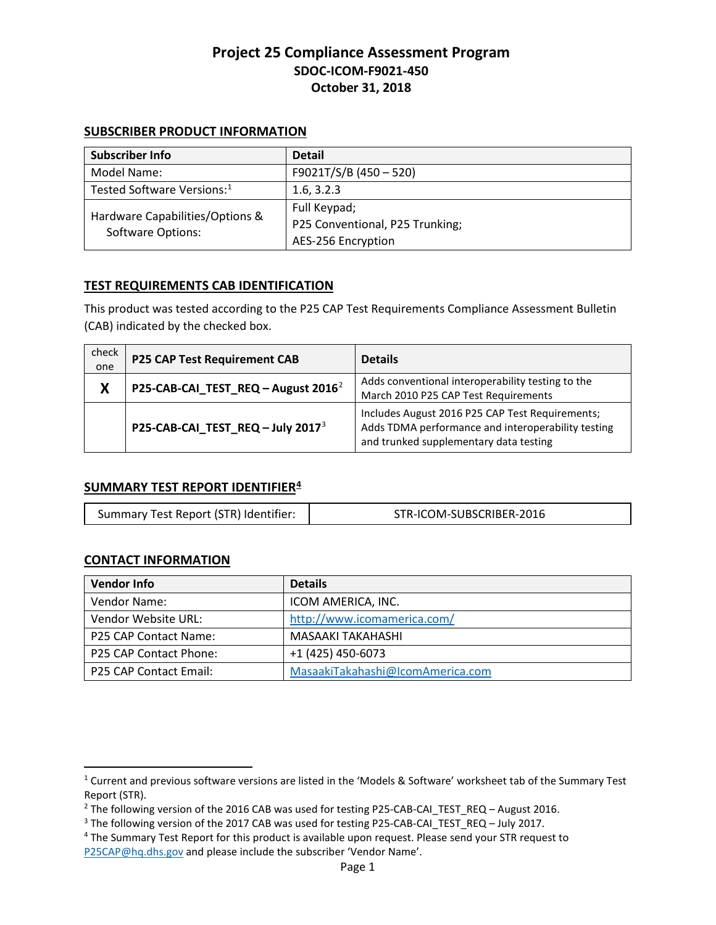### **SUBSCRIBER PRODUCT INFORMATION**

| Subscriber Info                                             | <b>Detail</b>                   |
|-------------------------------------------------------------|---------------------------------|
| Model Name:                                                 | F9021T/S/B (450 - 520)          |
| Tested Software Versions: <sup>1</sup>                      | 1.6, 3.2.3                      |
| Hardware Capabilities/Options &<br><b>Software Options:</b> | Full Keypad;                    |
|                                                             | P25 Conventional, P25 Trunking; |
|                                                             | AES-256 Encryption              |

## **TEST REQUIREMENTS CAB IDENTIFICATION**

This product was tested according to the P25 CAP Test Requirements Compliance Assessment Bulletin (CAB) indicated by the checked box.

| check<br>one | <b>P25 CAP Test Requirement CAB</b>             | <b>Details</b>                                                                                                                                  |
|--------------|-------------------------------------------------|-------------------------------------------------------------------------------------------------------------------------------------------------|
| X            | P25-CAB-CAI_TEST_REQ - August 2016 <sup>2</sup> | Adds conventional interoperability testing to the<br>March 2010 P25 CAP Test Requirements                                                       |
|              | P25-CAB-CAI_TEST_REQ - July 2017 <sup>3</sup>   | Includes August 2016 P25 CAP Test Requirements;<br>Adds TDMA performance and interoperability testing<br>and trunked supplementary data testing |

### **SUMMARY TEST REPORT IDENTIFIER[4](#page-0-3)**

| Summary Test Report (STR) Identifier: | STR-ICOM-SUBSCRIBER-2016 |
|---------------------------------------|--------------------------|
|---------------------------------------|--------------------------|

### **CONTACT INFORMATION**

 $\overline{\phantom{a}}$ 

| <b>Vendor Info</b>     | <b>Details</b>                   |
|------------------------|----------------------------------|
| Vendor Name:           | ICOM AMERICA, INC.               |
| Vendor Website URL:    | http://www.icomamerica.com/      |
| P25 CAP Contact Name:  | MASAAKI TAKAHASHI                |
| P25 CAP Contact Phone: | +1 (425) 450-6073                |
| P25 CAP Contact Email: | MasaakiTakahashi@IcomAmerica.com |

<span id="page-0-0"></span><sup>1</sup> Current and previous software versions are listed in the 'Models & Software' worksheet tab of the Summary Test Report (STR).

<span id="page-0-1"></span><sup>&</sup>lt;sup>2</sup> The following version of the 2016 CAB was used for testing P25-CAB-CAI\_TEST\_REQ – August 2016.<br><sup>3</sup> The following version of the 2017 CAB was used for testing P25-CAB-CAI\_TEST\_REQ – July 2017.<br><sup>4</sup> The Summary Test Repo

<span id="page-0-2"></span>

<span id="page-0-3"></span>[P25CAP@hq.dhs.gov](mailto:P25CAP@hq.dhs.gov?subject=Request%20%3e%20ICOM%20F9021T/S/B%20(450%20%E2%80%93%20520)%20STR) and please include the subscriber 'Vendor Name'.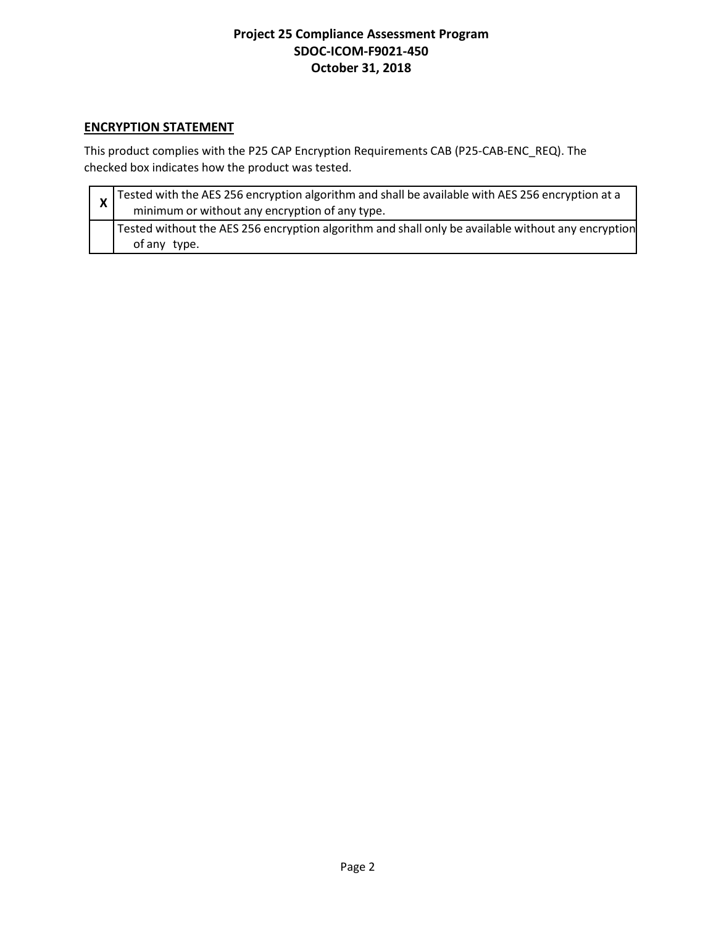# **ENCRYPTION STATEMENT**

This product complies with the P25 CAP Encryption Requirements CAB (P25-CAB-ENC\_REQ). The checked box indicates how the product was tested.

| $\mathbf{v}$ | Tested with the AES 256 encryption algorithm and shall be available with AES 256 encryption at a<br>minimum or without any encryption of any type. |
|--------------|----------------------------------------------------------------------------------------------------------------------------------------------------|
|              | Tested without the AES 256 encryption algorithm and shall only be available without any encryption<br>of any type.                                 |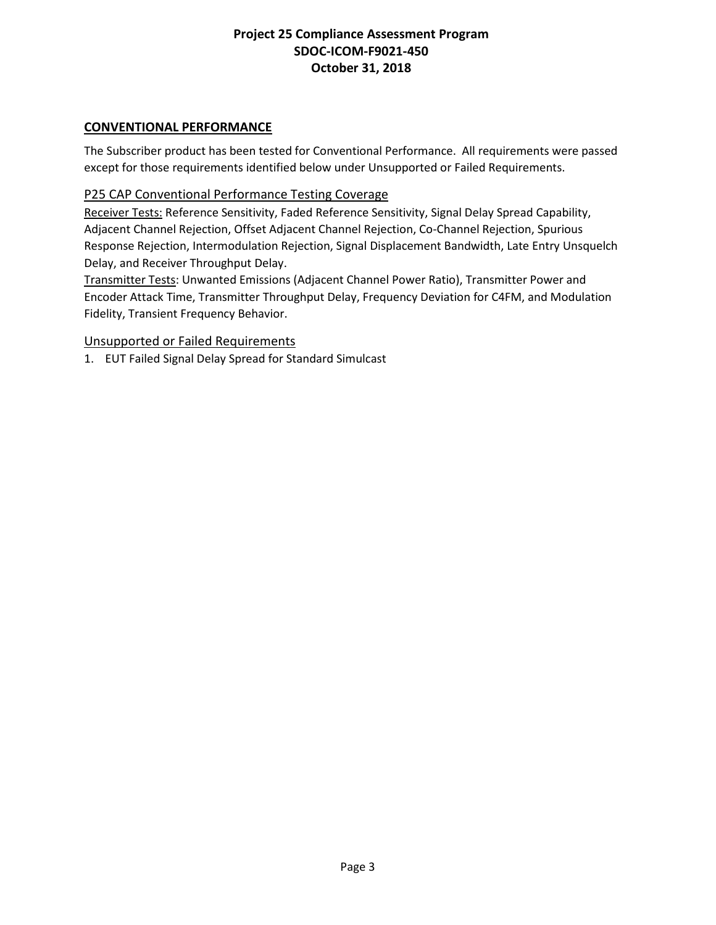## **CONVENTIONAL PERFORMANCE**

The Subscriber product has been tested for Conventional Performance. All requirements were passed except for those requirements identified below under Unsupported or Failed Requirements.

## P25 CAP Conventional Performance Testing Coverage

Receiver Tests: Reference Sensitivity, Faded Reference Sensitivity, Signal Delay Spread Capability, Adjacent Channel Rejection, Offset Adjacent Channel Rejection, Co-Channel Rejection, Spurious Response Rejection, Intermodulation Rejection, Signal Displacement Bandwidth, Late Entry Unsquelch Delay, and Receiver Throughput Delay.

Transmitter Tests: Unwanted Emissions (Adjacent Channel Power Ratio), Transmitter Power and Encoder Attack Time, Transmitter Throughput Delay, Frequency Deviation for C4FM, and Modulation Fidelity, Transient Frequency Behavior.

### Unsupported or Failed Requirements

1. EUT Failed Signal Delay Spread for Standard Simulcast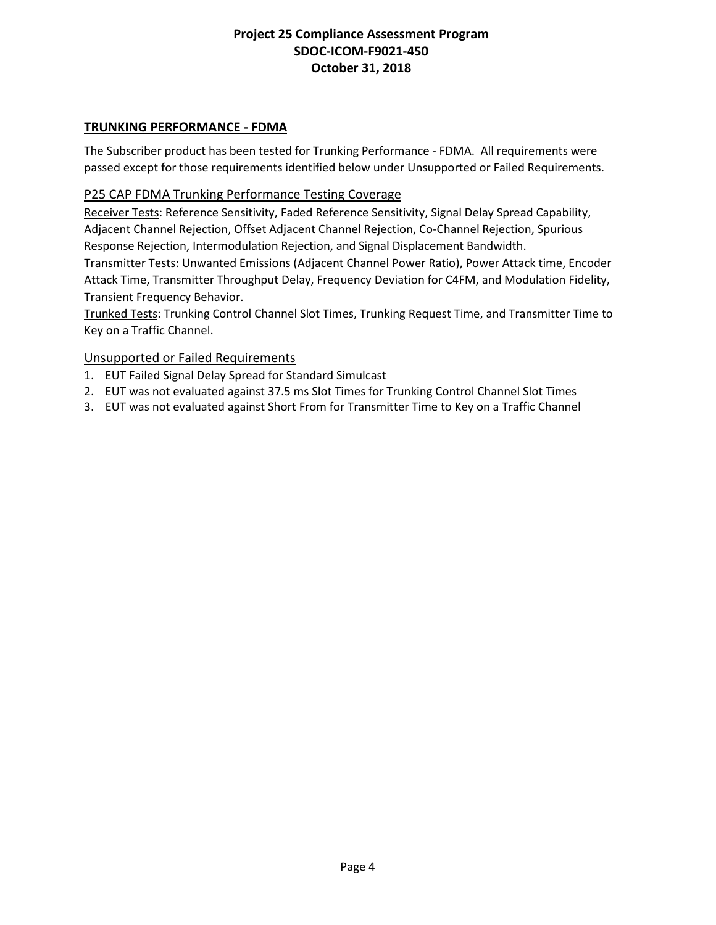## **TRUNKING PERFORMANCE - FDMA**

The Subscriber product has been tested for Trunking Performance - FDMA. All requirements were passed except for those requirements identified below under Unsupported or Failed Requirements.

### P25 CAP FDMA Trunking Performance Testing Coverage

Receiver Tests: Reference Sensitivity, Faded Reference Sensitivity, Signal Delay Spread Capability, Adjacent Channel Rejection, Offset Adjacent Channel Rejection, Co-Channel Rejection, Spurious Response Rejection, Intermodulation Rejection, and Signal Displacement Bandwidth.

Transmitter Tests: Unwanted Emissions (Adjacent Channel Power Ratio), Power Attack time, Encoder Attack Time, Transmitter Throughput Delay, Frequency Deviation for C4FM, and Modulation Fidelity, Transient Frequency Behavior.

Trunked Tests: Trunking Control Channel Slot Times, Trunking Request Time, and Transmitter Time to Key on a Traffic Channel.

### Unsupported or Failed Requirements

- 1. EUT Failed Signal Delay Spread for Standard Simulcast
- 2. EUT was not evaluated against 37.5 ms Slot Times for Trunking Control Channel Slot Times
- 3. EUT was not evaluated against Short From for Transmitter Time to Key on a Traffic Channel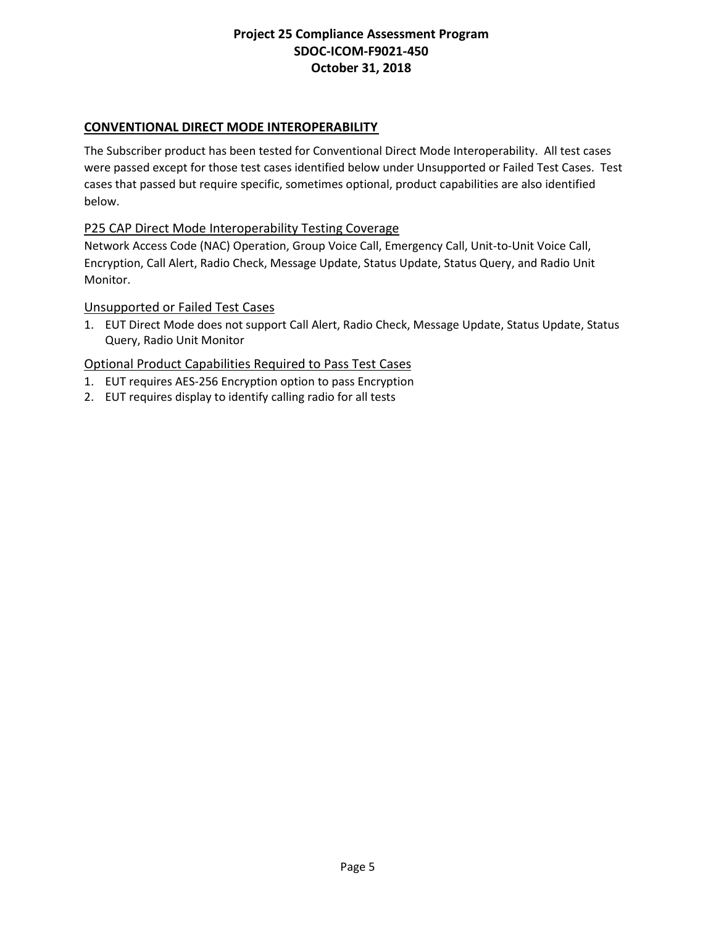## **CONVENTIONAL DIRECT MODE INTEROPERABILITY**

The Subscriber product has been tested for Conventional Direct Mode Interoperability. All test cases were passed except for those test cases identified below under Unsupported or Failed Test Cases. Test cases that passed but require specific, sometimes optional, product capabilities are also identified below.

### P25 CAP Direct Mode Interoperability Testing Coverage

Network Access Code (NAC) Operation, Group Voice Call, Emergency Call, Unit-to-Unit Voice Call, Encryption, Call Alert, Radio Check, Message Update, Status Update, Status Query, and Radio Unit Monitor.

#### Unsupported or Failed Test Cases

1. EUT Direct Mode does not support Call Alert, Radio Check, Message Update, Status Update, Status Query, Radio Unit Monitor

- 1. EUT requires AES-256 Encryption option to pass Encryption
- 2. EUT requires display to identify calling radio for all tests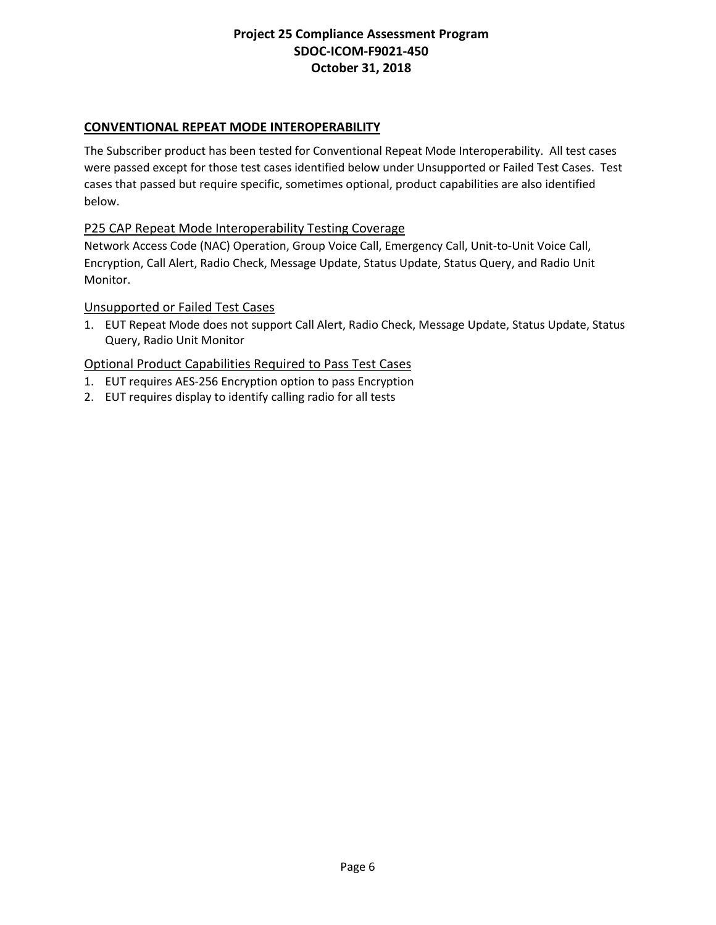## **CONVENTIONAL REPEAT MODE INTEROPERABILITY**

The Subscriber product has been tested for Conventional Repeat Mode Interoperability. All test cases were passed except for those test cases identified below under Unsupported or Failed Test Cases. Test cases that passed but require specific, sometimes optional, product capabilities are also identified below.

### P25 CAP Repeat Mode Interoperability Testing Coverage

Network Access Code (NAC) Operation, Group Voice Call, Emergency Call, Unit-to-Unit Voice Call, Encryption, Call Alert, Radio Check, Message Update, Status Update, Status Query, and Radio Unit Monitor.

#### Unsupported or Failed Test Cases

1. EUT Repeat Mode does not support Call Alert, Radio Check, Message Update, Status Update, Status Query, Radio Unit Monitor

- 1. EUT requires AES-256 Encryption option to pass Encryption
- 2. EUT requires display to identify calling radio for all tests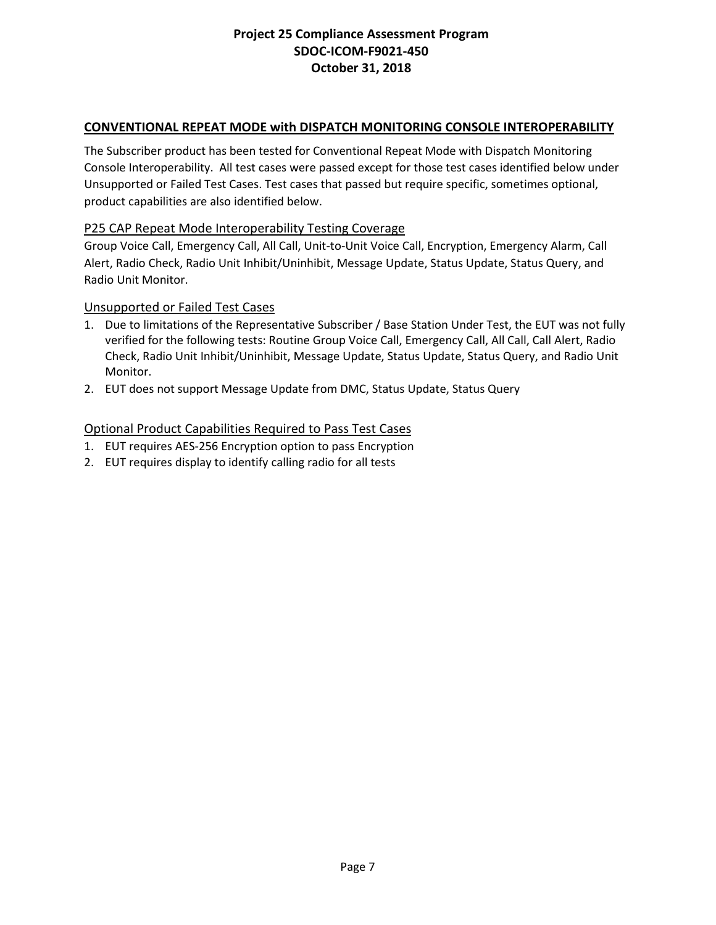## **CONVENTIONAL REPEAT MODE with DISPATCH MONITORING CONSOLE INTEROPERABILITY**

The Subscriber product has been tested for Conventional Repeat Mode with Dispatch Monitoring Console Interoperability. All test cases were passed except for those test cases identified below under Unsupported or Failed Test Cases. Test cases that passed but require specific, sometimes optional, product capabilities are also identified below.

### P25 CAP Repeat Mode Interoperability Testing Coverage

Group Voice Call, Emergency Call, All Call, Unit-to-Unit Voice Call, Encryption, Emergency Alarm, Call Alert, Radio Check, Radio Unit Inhibit/Uninhibit, Message Update, Status Update, Status Query, and Radio Unit Monitor.

#### Unsupported or Failed Test Cases

- 1. Due to limitations of the Representative Subscriber / Base Station Under Test, the EUT was not fully verified for the following tests: Routine Group Voice Call, Emergency Call, All Call, Call Alert, Radio Check, Radio Unit Inhibit/Uninhibit, Message Update, Status Update, Status Query, and Radio Unit Monitor.
- 2. EUT does not support Message Update from DMC, Status Update, Status Query

- 1. EUT requires AES-256 Encryption option to pass Encryption
- 2. EUT requires display to identify calling radio for all tests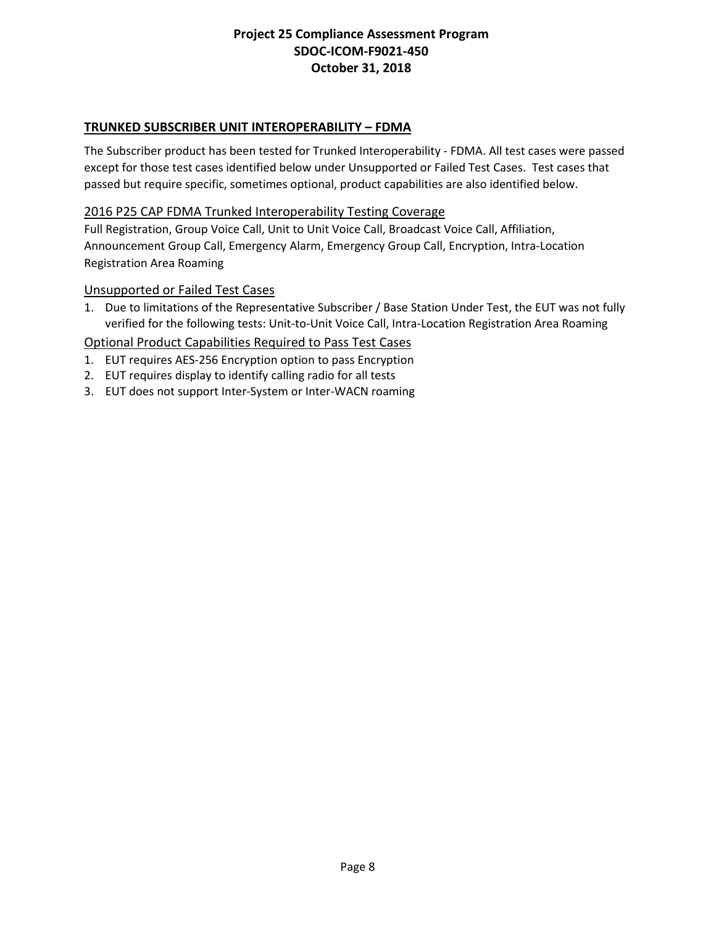## **TRUNKED SUBSCRIBER UNIT INTEROPERABILITY – FDMA**

The Subscriber product has been tested for Trunked Interoperability - FDMA. All test cases were passed except for those test cases identified below under Unsupported or Failed Test Cases. Test cases that passed but require specific, sometimes optional, product capabilities are also identified below.

### 2016 P25 CAP FDMA Trunked Interoperability Testing Coverage

Full Registration, Group Voice Call, Unit to Unit Voice Call, Broadcast Voice Call, Affiliation, Announcement Group Call, Emergency Alarm, Emergency Group Call, Encryption, Intra-Location Registration Area Roaming

#### Unsupported or Failed Test Cases

1. Due to limitations of the Representative Subscriber / Base Station Under Test, the EUT was not fully verified for the following tests: Unit-to-Unit Voice Call, Intra-Location Registration Area Roaming

- 1. EUT requires AES-256 Encryption option to pass Encryption
- 2. EUT requires display to identify calling radio for all tests
- 3. EUT does not support Inter-System or Inter-WACN roaming